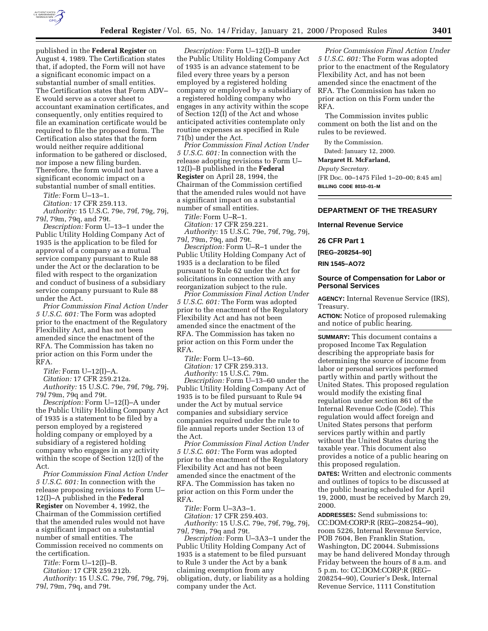

published in the **Federal Register** on August 4, 1989. The Certification states that, if adopted, the Form will not have a significant economic impact on a substantial number of small entities. The Certification states that Form ADV– E would serve as a cover sheet to accountant examination certificates, and consequently, only entities required to file an examination certificate would be required to file the proposed form. The Certification also states that the form would neither require additional information to be gathered or disclosed, nor impose a new filing burden. Therefore, the form would not have a significant economic impact on a substantial number of small entities.

*Title:* Form U–13–1.

*Citation:* 17 CFR 259.113. *Authority:* 15 U.S.C. 79e, 79f, 79g, 79j,

79*l*, 79m, 79q, and 79t. *Description:* Form U–13–1 under the

Public Utility Holding Company Act of 1935 is the application to be filed for approval of a company as a mutual service company pursuant to Rule 88 under the Act or the declaration to be filed with respect to the organization and conduct of business of a subsidiary service company pursuant to Rule 88 under the Act.

*Prior Commission Final Action Under 5 U.S.C. 601:* The Form was adopted prior to the enactment of the Regulatory Flexibility Act, and has not been amended since the enactment of the RFA. The Commission has taken no prior action on this Form under the RFA.

*Title:* Form U–12(I)–A.

*Citation:* 17 CFR 259.212a.

*Authority:* 15 U.S.C. 79e, 79f, 79g, 79j, 79*l* 79m, 79q and 79t.

*Description:* Form U–12(I)–A under the Public Utility Holding Company Act of 1935 is a statement to be filed by a person employed by a registered holding company or employed by a subsidiary of a registered holding company who engages in any activity within the scope of Section 12(I) of the Act.

*Prior Commission Final Action Under 5 U.S.C. 601:* In connection with the release proposing revisions to Form U– 12(I)–A published in the **Federal Register** on November 4, 1992, the Chairman of the Commission certified that the amended rules would not have a significant impact on a substantial number of small entities. The Commission received no comments on the certification.

*Title:* Form U–12(I)–B. *Citation:* 17 CFR 259.212b.

*Authority:* 15 U.S.C. 79e, 79f, 79g, 79j, 79*l*, 79m, 79q, and 79t.

*Description:* Form U–12(I)–B under the Public Utility Holding Company Act of 1935 is an advance statement to be filed every three years by a person employed by a registered holding company or employed by a subsidiary of a registered holding company who engages in any activity within the scope of Section 12(I) of the Act and whose anticipated activities contemplate only routine expenses as specified in Rule 71(b) under the Act.

*Prior Commission Final Action Under 5 U.S.C. 601:* In connection with the release adopting revisions to Form U– 12(I)–B published in the **Federal Register** on April 28, 1994, the Chairman of the Commission certified that the amended rules would not have a significant impact on a substantial number of small entities.

*Title:* Form U–R–1.

*Citation:* 17 CFR 259.221. *Authority:* 15 U.S.C. 79e, 79f, 79g, 79j, 79*l*, 79m, 79q, and 79t.

*Description:* Form U–R–1 under the Public Utility Holding Company Act of 1935 is a declaration to be filed pursuant to Rule 62 under the Act for solicitations in connection with any reorganization subject to the rule.

*Prior Commission Final Action Under 5 U.S.C. 601:* The Form was adopted prior to the enactment of the Regulatory Flexibility Act and has not been amended since the enactment of the RFA. The Commission has taken no prior action on this Form under the RFA.

*Title:* Form U–13–60. *Citation:* 17 CFR 259.313. *Authority:* 15 U.S.C. 79m.

*Description:* Form U–13–60 under the Public Utility Holding Company Act of 1935 is to be filed pursuant to Rule 94 under the Act by mutual service companies and subsidiary service companies required under the rule to file annual reports under Section 13 of the Act.

*Prior Commission Final Action Under 5 U.S.C. 601:* The Form was adopted prior to the enactment of the Regulatory Flexibility Act and has not been amended since the enactment of the RFA. The Commission has taken no prior action on this Form under the RFA.

*Title:* Form U–3A3–1.

*Citation:* 17 CFR 259.403. *Authority:* 15 U.S.C. 79e, 79f, 79g, 79j,

79*l*, 79m, 79q and 79t.

*Description:* Form U–3A3–1 under the Public Utility Holding Company Act of 1935 is a statement to be filed pursuant to Rule 3 under the Act by a bank claiming exemption from any obligation, duty, or liability as a holding company under the Act.

*Prior Commission Final Action Under 5 U.S.C. 601:* The Form was adopted prior to the enactment of the Regulatory Flexibility Act, and has not been amended since the enactment of the RFA. The Commission has taken no prior action on this Form under the RFA.

The Commission invites public comment on both the list and on the rules to be reviewed.

By the Commission.

Dated: January 12, 2000.

**Margaret H. McFarland,**

*Deputy Secretary.*

[FR Doc. 00–1475 Filed 1–20–00; 8:45 am] **BILLING CODE 8010–01–M**

# **DEPARTMENT OF THE TREASURY**

**Internal Revenue Service**

# **26 CFR Part 1**

**[REG–208254–90]**

**RIN 1545–AO72**

## **Source of Compensation for Labor or Personal Services**

**AGENCY:** Internal Revenue Service (IRS), Treasury.

**ACTION:** Notice of proposed rulemaking and notice of public hearing.

**SUMMARY:** This document contains a proposed Income Tax Regulation describing the appropriate basis for determining the source of income from labor or personal services performed partly within and partly without the United States. This proposed regulation would modify the existing final regulation under section 861 of the Internal Revenue Code (Code). This regulation would affect foreign and United States persons that perform services partly within and partly without the United States during the taxable year. This document also provides a notice of a public hearing on this proposed regulation.

**DATES:** Written and electronic comments and outlines of topics to be discussed at the public hearing scheduled for April 19, 2000, must be received by March 29, 2000.

**ADDRESSES:** Send submissions to: CC:DOM:CORP:R (REG–208254–90), room 5226, Internal Revenue Service, POB 7604, Ben Franklin Station, Washington, DC 20044. Submissions may be hand delivered Monday through Friday between the hours of 8 a.m. and 5 p.m. to: CC:DOM:CORP:R (REG– 208254–90), Courier's Desk, Internal Revenue Service, 1111 Constitution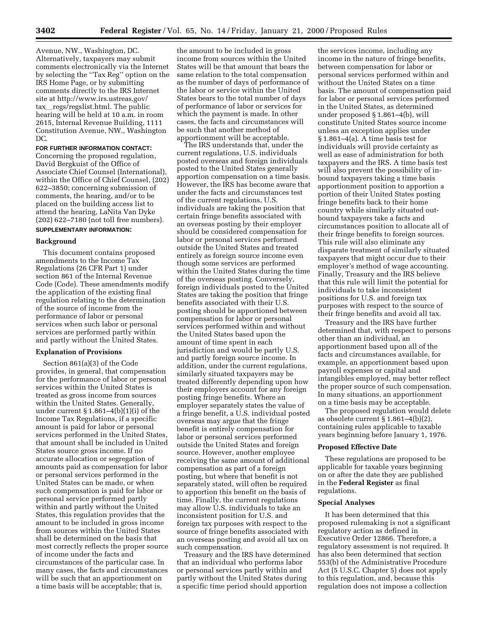Avenue, NW., Washington, DC. Alternatively, taxpayers may submit comments electronically via the Internet by selecting the ''Tax Reg'' option on the IRS Home Page, or by submitting comments directly to the IRS Internet site at http://www.irs.ustreas.gov/ tax\_regs/regslist.html. The public hearing will be held at 10 a.m. in room 2615, Internal Revenue Building, 1111 Constitution Avenue, NW., Washington DC.

**FOR FURTHER INFORMATION CONTACT:** Concerning the proposed regulation, David Bergkuist of the Office of Associate Chief Counsel (International), within the Office of Chief Counsel, (202) 622–3850; concerning submission of comments, the hearing, and/or to be placed on the building access list to attend the hearing, LaNita Van Dyke (202) 622–7180 (not toll free numbers).

# **SUPPLEMENTARY INFORMATION:**

# **Background**

This document contains proposed amendments to the Income Tax Regulations (26 CFR Part 1) under section 861 of the Internal Revenue Code (Code). These amendments modify the application of the existing final regulation relating to the determination of the source of income from the performance of labor or personal services when such labor or personal services are performed partly within and partly without the United States.

### **Explanation of Provisions**

Section 861(a)(3) of the Code provides, in general, that compensation for the performance of labor or personal services within the United States is treated as gross income from sources within the United States. Generally, under current  $\S 1.861-4(b)(1)(i)$  of the Income Tax Regulations, if a specific amount is paid for labor or personal services performed in the United States, that amount shall be included in United States source gross income. If no accurate allocation or segregation of amounts paid as compensation for labor or personal services performed in the United States can be made, or when such compensation is paid for labor or personal service performed partly within and partly without the United States, this regulation provides that the amount to be included in gross income from sources within the United States shall be determined on the basis that most correctly reflects the proper source of income under the facts and circumstances of the particular case. In many cases, the facts and circumstances will be such that an apportionment on a time basis will be acceptable; that is,

the amount to be included in gross income from sources within the United States will be that amount that bears the same relation to the total compensation as the number of days of performance of the labor or service within the United States bears to the total number of days of performance of labor or services for which the payment is made. In other cases, the facts and circumstances will be such that another method of apportionment will be acceptable.

The IRS understands that, under the current regulations, U.S. individuals posted overseas and foreign individuals posted to the United States generally apportion compensation on a time basis. However, the IRS has become aware that under the facts and circumstances test of the current regulations, U.S. individuals are taking the position that certain fringe benefits associated with an overseas posting by their employer should be considered compensation for labor or personal services performed outside the United States and treated entirely as foreign source income even though some services are performed within the United States during the time of the overseas posting. Conversely, foreign individuals posted to the United States are taking the position that fringe benefits associated with their U.S. posting should be apportioned between compensation for labor or personal services performed within and without the United States based upon the amount of time spent in each jurisdiction and would be partly U.S. and partly foreign source income. In addition, under the current regulations, similarly situated taxpayers may be treated differently depending upon how their employers account for any foreign posting fringe benefits. Where an employer separately states the value of a fringe benefit, a U.S. individual posted overseas may argue that the fringe benefit is entirely compensation for labor or personal services performed outside the United States and foreign source. However, another employee receiving the same amount of additional compensation as part of a foreign posting, but where that benefit is not separately stated, will often be required to apportion this benefit on the basis of time. Finally, the current regulations may allow U.S. individuals to take an inconsistent position for U.S. and foreign tax purposes with respect to the source of fringe benefits associated with an overseas posting and avoid all tax on such compensation.

Treasury and the IRS have determined that an individual who performs labor or personal services partly within and partly without the United States during a specific time period should apportion

the services income, including any income in the nature of fringe benefits, between compensation for labor or personal services performed within and without the United States on a time basis. The amount of compensation paid for labor or personal services performed in the United States, as determined under proposed § 1.861–4(b), will constitute United States source income unless an exception applies under § 1.861–4(a). A time basis test for individuals will provide certainty as well as ease of administration for both taxpayers and the IRS. A time basis test will also prevent the possibility of inbound taxpayers taking a time basis apportionment position to apportion a portion of their United States posting fringe benefits back to their home country while similarly situated outbound taxpayers take a facts and circumstances position to allocate all of their fringe benefits to foreign sources. This rule will also eliminate any disparate treatment of similarly situated taxpayers that might occur due to their employer's method of wage accounting. Finally, Treasury and the IRS believe that this rule will limit the potential for individuals to take inconsistent positions for U.S. and foreign tax purposes with respect to the source of their fringe benefits and avoid all tax.

Treasury and the IRS have further determined that, with respect to persons other than an individual, an apportionment based upon all of the facts and circumstances available, for example, an apportionment based upon payroll expenses or capital and intangibles employed, may better reflect the proper source of such compensation. In many situations, an apportionment on a time basis may be acceptable.

The proposed regulation would delete as obsolete current § 1.861–4(b)(2), containing rules applicable to taxable years beginning before January 1, 1976.

### **Proposed Effective Date**

These regulations are proposed to be applicable for taxable years beginning on or after the date they are published in the **Federal Register** as final regulations.

### **Special Analyses**

It has been determined that this proposed rulemaking is not a significant regulatory action as defined in Executive Order 12866. Therefore, a regulatory assessment is not required. It has also been determined that section 553(b) of the Administrative Procedure Act (5 U.S.C. Chapter 5) does not apply to this regulation, and, because this regulation does not impose a collection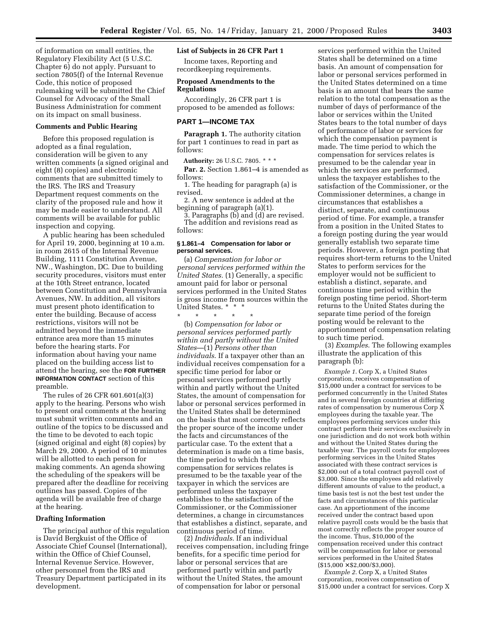of information on small entities, the Regulatory Flexibility Act (5 U.S.C. Chapter 6) do not apply. Pursuant to section 7805(f) of the Internal Revenue Code, this notice of proposed rulemaking will be submitted the Chief Counsel for Advocacy of the Small Business Administration for comment on its impact on small business.

### **Comments and Public Hearing**

Before this proposed regulation is adopted as a final regulation, consideration will be given to any written comments (a signed original and eight (8) copies) and electronic comments that are submitted timely to the IRS. The IRS and Treasury Department request comments on the clarity of the proposed rule and how it may be made easier to understand. All comments will be available for public inspection and copying.

A public hearing has been scheduled for April 19, 2000, beginning at 10 a.m. in room 2615 of the Internal Revenue Building, 1111 Constitution Avenue, NW., Washington, DC. Due to building security procedures, visitors must enter at the 10th Street entrance, located between Constitution and Pennsylvania Avenues, NW. In addition, all visitors must present photo identification to enter the building. Because of access restrictions, visitors will not be admitted beyond the immediate entrance area more than 15 minutes before the hearing starts. For information about having your name placed on the building access list to attend the hearing, see the **FOR FURTHER INFORMATION CONTACT** section of this preamble.

The rules of 26 CFR 601.601(a)(3) apply to the hearing. Persons who wish to present oral comments at the hearing must submit written comments and an outline of the topics to be discussed and the time to be devoted to each topic (signed original and eight (8) copies) by March 29, 2000. A period of 10 minutes will be allotted to each person for making comments. An agenda showing the scheduling of the speakers will be prepared after the deadline for receiving outlines has passed. Copies of the agenda will be available free of charge at the hearing.

#### **Drafting Information**

The principal author of this regulation is David Bergkuist of the Office of Associate Chief Counsel (International), within the Office of Chief Counsel, Internal Revenue Service. However, other personnel from the IRS and Treasury Department participated in its development.

# **List of Subjects in 26 CFR Part 1**

Income taxes, Reporting and recordkeeping requirements.

## **Proposed Amendments to the Regulations**

Accordingly, 26 CFR part 1 is proposed to be amended as follows:

# **PART 1—INCOME TAX**

**Paragraph 1.** The authority citation for part 1 continues to read in part as follows:

**Authority:** 26 U.S.C. 7805. \* \* \* Par. 2. Section 1.861–4 is amended as follows:

1. The heading for paragraph (a) is revised.

2. A new sentence is added at the beginning of paragraph (a)(1).

3. Paragraphs (b) and (d) are revised. The addition and revisions read as follows:

### **§ 1.861–4 Compensation for labor or personal services.**

(a) *Compensation for labor or personal services performed within the United States.* (1) Generally, a specific amount paid for labor or personal services performed in the United States is gross income from sources within the United States. \* \* \*

\* \* \* \* \* (b) *Compensation for labor or personal services performed partly within and partly without the United States*—(1) *Persons other than individuals*. If a taxpayer other than an individual receives compensation for a specific time period for labor or personal services performed partly within and partly without the United States, the amount of compensation for labor or personal services performed in the United States shall be determined on the basis that most correctly reflects the proper source of the income under the facts and circumstances of the particular case. To the extent that a determination is made on a time basis, the time period to which the compensation for services relates is presumed to be the taxable year of the taxpayer in which the services are performed unless the taxpayer establishes to the satisfaction of the Commissioner, or the Commissioner determines, a change in circumstances that establishes a distinct, separate, and continuous period of time.

(2) *Individuals*. If an individual receives compensation, including fringe benefits, for a specific time period for labor or personal services that are performed partly within and partly without the United States, the amount of compensation for labor or personal

services performed within the United States shall be determined on a time basis. An amount of compensation for labor or personal services performed in the United States determined on a time basis is an amount that bears the same relation to the total compensation as the number of days of performance of the labor or services within the United States bears to the total number of days of performance of labor or services for which the compensation payment is made. The time period to which the compensation for services relates is presumed to be the calendar year in which the services are performed, unless the taxpayer establishes to the satisfaction of the Commissioner, or the Commissioner determines, a change in circumstances that establishes a distinct, separate, and continuous period of time. For example, a transfer from a position in the United States to a foreign posting during the year would generally establish two separate time periods. However, a foreign posting that requires short-term returns to the United States to perform services for the employer would not be sufficient to establish a distinct, separate, and continuous time period within the foreign posting time period. Short-term returns to the United States during the separate time period of the foreign posting would be relevant to the apportionment of compensation relating to such time period.

(3) *Examples*. The following examples illustrate the application of this paragraph (b):

*Example 1*. Corp X, a United States corporation, receives compensation of \$15,000 under a contract for services to be performed concurrently in the United States and in several foreign countries at differing rates of compensation by numerous Corp X employees during the taxable year. The employees performing services under this contract perform their services exclusively in one jurisdiction and do not work both within and without the United States during the taxable year. The payroll costs for employees performing services in the United States associated with these contract services is \$2,000 out of a total contract payroll cost of \$3,000. Since the employees add relatively different amounts of value to the product, a time basis test is not the best test under the facts and circumstances of this particular case. An apportionment of the income received under the contract based upon relative payroll costs would be the basis that most correctly reflects the proper source of the income. Thus, \$10,000 of the compensation received under this contract will be compensation for labor or personal services performed in the United States  $($15,000 \times $2,000/ $3,000).$ 

*Example 2*. Corp X, a United States corporation, receives compensation of \$15,000 under a contract for services. Corp X